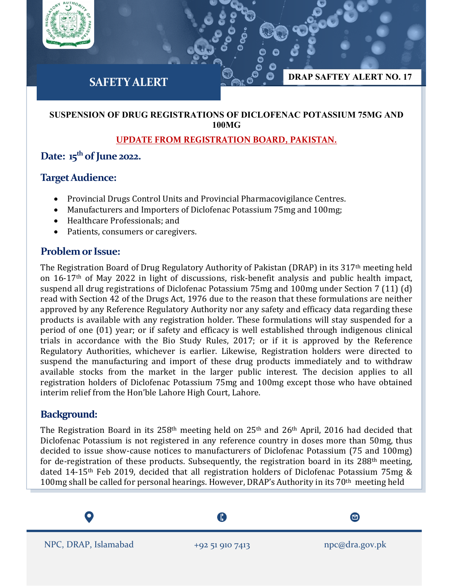

#### **SUSPENSION OF DRUG REGISTRATIONS OF DICLOFENAC POTASSIUM 75MG AND 100MG**

### **UPDATE FROM REGISTRATION BOARD, PAKISTAN.**

# **Date: 15th of June 2022.**

## **Target Audience:**

- Provincial Drugs Control Units and Provincial Pharmacovigilance Centres.
- Manufacturers and Importers of Diclofenac Potassium 75mg and 100mg;
- Healthcare Professionals; and
- Patients, consumers or caregivers.

# **Problem or Issue:**

The Registration Board of Drug Regulatory Authority of Pakistan (DRAP) in its 317th meeting held on 16-17th of May 2022 in light of discussions, risk-benefit analysis and public health impact, suspend all drug registrations of Diclofenac Potassium 75mg and 100mg under Section 7 (11) (d) read with Section 42 of the Drugs Act, 1976 due to the reason that these formulations are neither approved by any Reference Regulatory Authority nor any safety and efficacy data regarding these products is available with any registration holder. These formulations will stay suspended for a period of one (01) year; or if safety and efficacy is well established through indigenous clinical trials in accordance with the Bio Study Rules, 2017; or if it is approved by the Reference Regulatory Authorities, whichever is earlier. Likewise, Registration holders were directed to suspend the manufacturing and import of these drug products immediately and to withdraw available stocks from the market in the larger public interest. The decision applies to all registration holders of Diclofenac Potassium 75mg and 100mg except those who have obtained interim relief from the Hon'ble Lahore High Court, Lahore.

# **Background:**

The Registration Board in its 258<sup>th</sup> meeting held on 25<sup>th</sup> and 26<sup>th</sup> April, 2016 had decided that Diclofenac Potassium is not registered in any reference country in doses more than 50mg, thus decided to issue show-cause notices to manufacturers of Diclofenac Potassium (75 and 100mg) for de-registration of these products. Subsequently, the registration board in its 288<sup>th</sup> meeting, dated 14-15<sup>th</sup> Feb 2019, decided that all registration holders of Diclofenac Potassium 75mg & 100mg shall be called for personal hearings. However, DRAP's Authority in its 70<sup>th</sup> meeting held

A

NPC, DRAP, Islamabad +92 51 910 7413 npc@dra.gov.pk

 $\boldsymbol{\Xi}$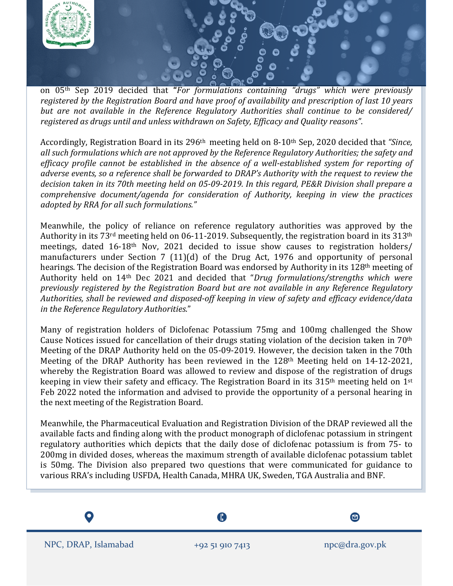

on 05th Sep 2019 decided that **"***For formulations containing "drugs" which were previously registered by the Registration Board and have proof of availability and prescription of last 10 years but are not available in the Reference Regulatory Authorities shall continue to be considered/ registered as drugs until and unless withdrawn on Safety, Efficacy and Quality reasons"*.

Accordingly, Registration Board in its 296th meeting held on 8-10th Sep, 2020 decided that *"Since, all such formulations which are not approved by the Reference Regulatory Authorities; the safety and efficacy profile cannot be established in the absence of a well-established system for reporting of adverse events, so a reference shall be forwarded to DRAP's Authority with the request to review the decision taken in its 70th meeting held on 05-09-2019. In this regard, PE&R Division shall prepare a comprehensive document/agenda for consideration of Authority, keeping in view the practices adopted by RRA for all such formulations."*

Meanwhile, the policy of reliance on reference regulatory authorities was approved by the Authority in its 73<sup>rd</sup> meeting held on 06-11-2019. Subsequently, the registration board in its 313<sup>th</sup> meetings, dated 16-18th Nov, 2021 decided to issue show causes to registration holders/ manufacturers under Section 7 (11)(d) of the Drug Act, 1976 and opportunity of personal hearings. The decision of the Registration Board was endorsed by Authority in its 128th meeting of Authority held on 14th Dec 2021 and decided that "*Drug formulations/strengths which were previously registered by the Registration Board but are not available in any Reference Regulatory Authorities, shall be reviewed and disposed-off keeping in view of safety and efficacy evidence/data in the Reference Regulatory Authorities*."

Many of registration holders of Diclofenac Potassium 75mg and 100mg challenged the Show Cause Notices issued for cancellation of their drugs stating violation of the decision taken in 70th Meeting of the DRAP Authority held on the 05-09-2019. However, the decision taken in the 70th Meeting of the DRAP Authority has been reviewed in the 128th Meeting held on 14-12-2021, whereby the Registration Board was allowed to review and dispose of the registration of drugs keeping in view their safety and efficacy. The Registration Board in its 315<sup>th</sup> meeting held on 1<sup>st</sup> Feb 2022 noted the information and advised to provide the opportunity of a personal hearing in the next meeting of the Registration Board.

Meanwhile, the Pharmaceutical Evaluation and Registration Division of the DRAP reviewed all the available facts and finding along with the product monograph of diclofenac potassium in stringent regulatory authorities which depicts that the daily dose of diclofenac potassium is from 75- to 200mg in divided doses, whereas the maximum strength of available diclofenac potassium tablet is 50mg. The Division also prepared two questions that were communicated for guidance to various RRA's including USFDA, Health Canada, MHRA UK, Sweden, TGA Australia and BNF.

A  $\boldsymbol{\Xi}$ NPC, DRAP, Islamabad +92 51 910 7413 npc@dra.gov.pk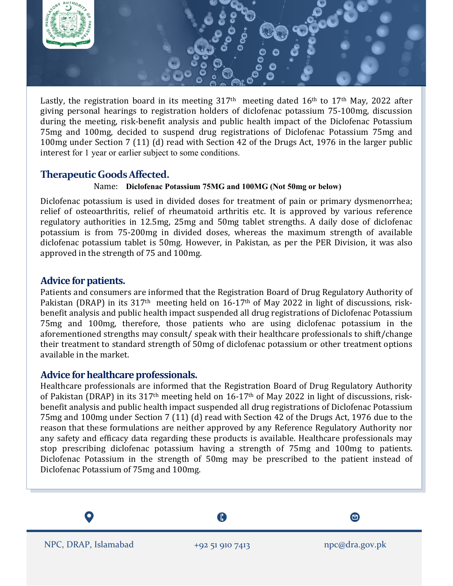

Lastly, the registration board in its meeting  $317<sup>th</sup>$  meeting dated  $16<sup>th</sup>$  to  $17<sup>th</sup>$  May, 2022 after giving personal hearings to registration holders of diclofenac potassium 75-100mg, discussion during the meeting, risk-benefit analysis and public health impact of the Diclofenac Potassium 75mg and 100mg, decided to suspend drug registrations of Diclofenac Potassium 75mg and 100mg under Section 7 (11) (d) read with Section 42 of the Drugs Act, 1976 in the larger public interest for 1 year or earlier subject to some conditions.

## **Therapeutic GoodsAffected.**

#### Name: **Diclofenac Potassium 75MG and 100MG (Not 50mg or below)**

Diclofenac potassium is used in divided doses for treatment of pain or primary dysmenorrhea; relief of osteoarthritis, relief of rheumatoid arthritis etc. It is approved by various reference regulatory authorities in 12.5mg, 25mg and 50mg tablet strengths. A daily dose of diclofenac potassium is from 75-200mg in divided doses, whereas the maximum strength of available diclofenac potassium tablet is 50mg. However, in Pakistan, as per the PER Division, it was also approved in the strength of 75 and 100mg.

### **Advice for patients.**

Patients and consumers are informed that the Registration Board of Drug Regulatory Authority of Pakistan (DRAP) in its 317<sup>th</sup> meeting held on 16-17<sup>th</sup> of May 2022 in light of discussions, riskbenefit analysis and public health impact suspended all drug registrations of Diclofenac Potassium 75mg and 100mg, therefore, those patients who are using diclofenac potassium in the aforementioned strengths may consult/ speak with their healthcare professionals to shift/change their treatment to standard strength of 50mg of diclofenac potassium or other treatment options available in the market.

#### **Advice for healthcare professionals.**

Healthcare professionals are informed that the Registration Board of Drug Regulatory Authority of Pakistan (DRAP) in its 317th meeting held on 16-17th of May 2022 in light of discussions, riskbenefit analysis and public health impact suspended all drug registrations of Diclofenac Potassium 75mg and 100mg under Section 7 (11) (d) read with Section 42 of the Drugs Act, 1976 due to the reason that these formulations are neither approved by any Reference Regulatory Authority nor any safety and efficacy data regarding these products is available. Healthcare professionals may stop prescribing diclofenac potassium having a strength of 75mg and 100mg to patients. Diclofenac Potassium in the strength of 50mg may be prescribed to the patient instead of Diclofenac Potassium of 75mg and 100mg.

A  $\boldsymbol{\Xi}$ NPC, DRAP, Islamabad +92 51 910 7413 npc@dra.gov.pk